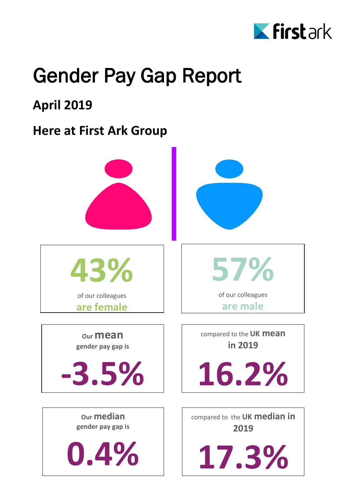

## Gender Pay Gap Report

### **April 2019**

#### **Here at First Ark Group**



compared to the **UK median in 2019**

**17.3%**

**0.4%**

**gender pay gap is**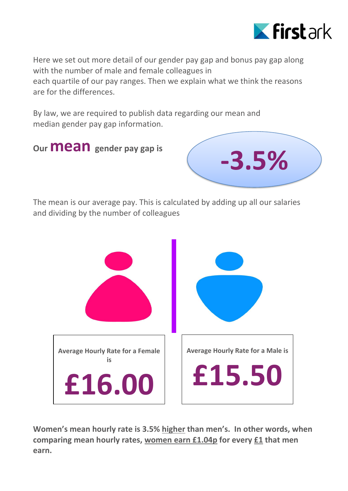

Here we set out more detail of our gender pay gap and bonus pay gap along with the number of male and female colleagues in each quartile of our pay ranges. Then we explain what we think the reasons are for the differences.

By law, we are required to publish data regarding our mean and median gender pay gap information.

**Our mean gender pay gap is7.1%% 7.1%7.1**



The mean is our average pay. This is calculated by adding up all our salaries and dividing by the number of colleagues



**Women's mean hourly rate is 3.5% higher than men's. In other words, when comparing mean hourly rates, women earn £1.04p for every £1 that men earn.**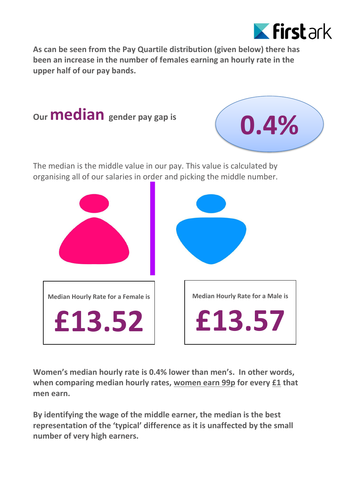

**As can be seen from the Pay Quartile distribution (given below) there has been an increase in the number of females earning an hourly rate in the upper half of our pay bands.** 



**Women's median hourly rate is 0.4% lower than men's. In other words, when comparing median hourly rates, women earn 99p for every £1 that men earn.**

**By identifying the wage of the middle earner, the median is the best representation of the 'typical' difference as it is unaffected by the small number of very high earners.**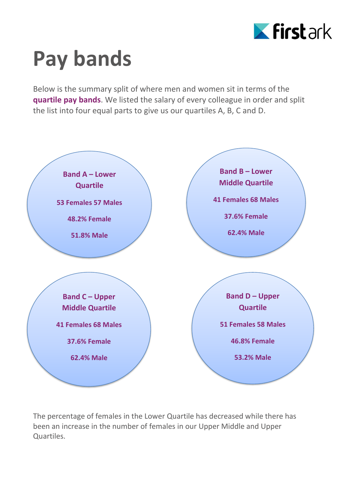

# **Pay bands**

Below is the summary split of where men and women sit in terms of the **quartile pay bands**. We listed the salary of every colleague in order and split the list into four equal parts to give us our quartiles A, B, C and D.



The percentage of females in the Lower Quartile has decreased while there has been an increase in the number of females in our Upper Middle and Upper Quartiles.